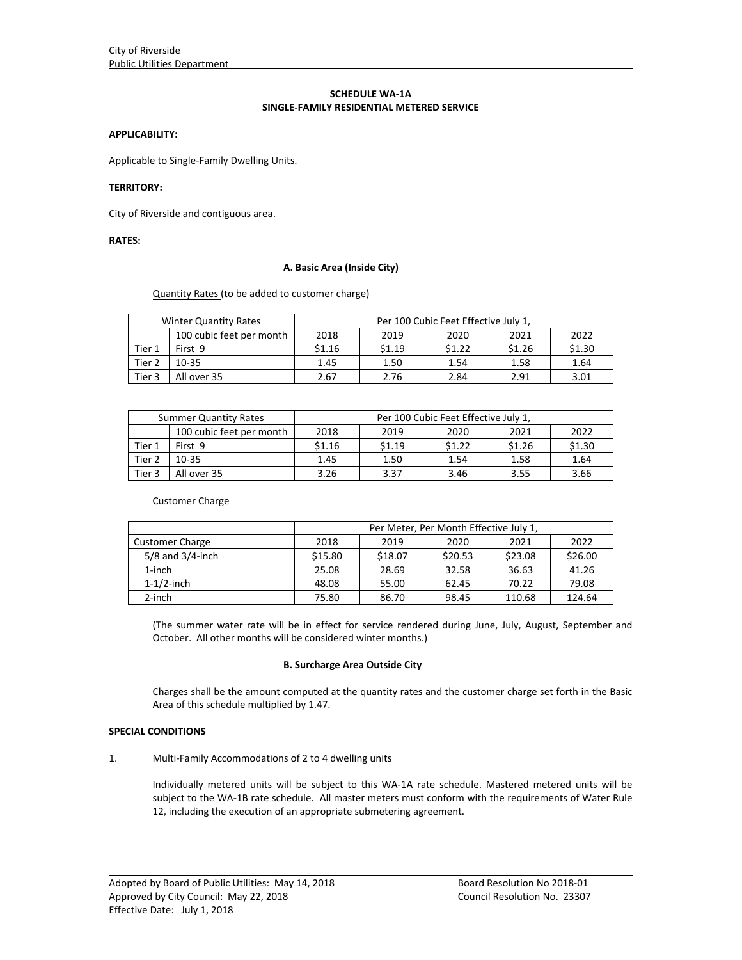## **SCHEDULE WA‐1A SINGLE‐FAMILY RESIDENTIAL METERED SERVICE**

#### **APPLICABILITY:**

Applicable to Single‐Family Dwelling Units.

### **TERRITORY:**

City of Riverside and contiguous area.

# **RATES:**

#### **A. Basic Area (Inside City)**

Quantity Rates (to be added to customer charge)

| <b>Winter Quantity Rates</b> |                          | Per 100 Cubic Feet Effective July 1. |        |        |        |        |
|------------------------------|--------------------------|--------------------------------------|--------|--------|--------|--------|
|                              | 100 cubic feet per month | 2018                                 | 2019   | 2020   | 2021   | 2022   |
| Tier 1                       | First 9                  | \$1.16                               | \$1.19 | \$1.22 | \$1.26 | \$1.30 |
| Tier <sub>2</sub>            | $10 - 35$                | 1.45                                 | 1.50   | 1.54   | 1.58   | 1.64   |
| Tier <sub>3</sub>            | All over 35              | 2.67                                 | 2.76   | 2.84   | 2.91   | 3.01   |

| <b>Summer Quantity Rates</b> |                          | Per 100 Cubic Feet Effective July 1. |        |        |        |        |
|------------------------------|--------------------------|--------------------------------------|--------|--------|--------|--------|
|                              | 100 cubic feet per month | 2018                                 | 2019   | 2020   | 2021   | 2022   |
| Tier 1                       | First 9                  | \$1.16                               | \$1.19 | \$1.22 | \$1.26 | \$1.30 |
| Tier <sub>2</sub>            | $10 - 35$                | 1.45                                 | 1.50   | 1.54   | 1.58   | 1.64   |
| Tier 3                       | All over 35              | 3.26                                 | 3.37   | 3.46   | 3.55   | 3.66   |

Customer Charge

|                        | Per Meter, Per Month Effective July 1, |         |         |         |         |
|------------------------|----------------------------------------|---------|---------|---------|---------|
| <b>Customer Charge</b> | 2018                                   | 2019    | 2020    | 2021    | 2022    |
| $5/8$ and $3/4$ -inch  | \$15.80                                | \$18.07 | \$20.53 | \$23.08 | \$26.00 |
| $1$ -inch              | 25.08                                  | 28.69   | 32.58   | 36.63   | 41.26   |
| $1-1/2$ -inch          | 48.08                                  | 55.00   | 62.45   | 70.22   | 79.08   |
| 2-inch                 | 75.80                                  | 86.70   | 98.45   | 110.68  | 124.64  |

(The summer water rate will be in effect for service rendered during June, July, August, September and October. All other months will be considered winter months.)

#### **B. Surcharge Area Outside City**

Charges shall be the amount computed at the quantity rates and the customer charge set forth in the Basic Area of this schedule multiplied by 1.47.

## **SPECIAL CONDITIONS**

1. Multi‐Family Accommodations of 2 to 4 dwelling units

Individually metered units will be subject to this WA‐1A rate schedule. Mastered metered units will be subject to the WA‐1B rate schedule. All master meters must conform with the requirements of Water Rule 12, including the execution of an appropriate submetering agreement.

<u> 1989 - Johann Stoff, amerikansk politiker (d. 1989)</u>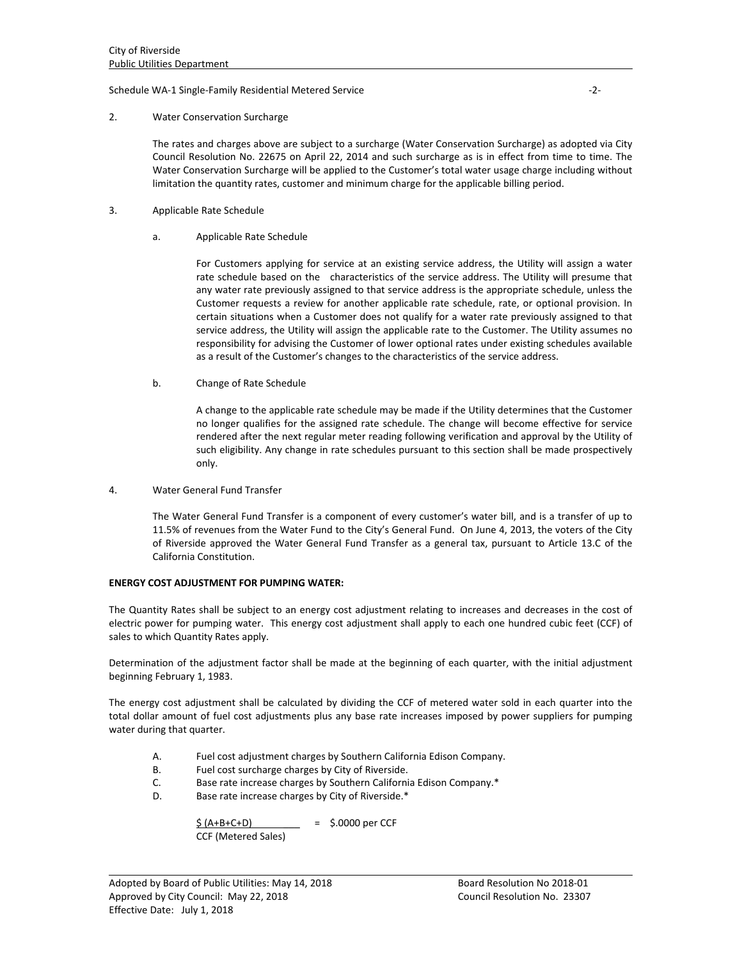#### Schedule WA‐1 Single‐Family Residential Metered Service ‐2‐

#### 2. Water Conservation Surcharge

The rates and charges above are subject to a surcharge (Water Conservation Surcharge) as adopted via City Council Resolution No. 22675 on April 22, 2014 and such surcharge as is in effect from time to time. The Water Conservation Surcharge will be applied to the Customer's total water usage charge including without limitation the quantity rates, customer and minimum charge for the applicable billing period.

- 3. Applicable Rate Schedule
	- a. Applicable Rate Schedule

For Customers applying for service at an existing service address, the Utility will assign a water rate schedule based on the characteristics of the service address. The Utility will presume that any water rate previously assigned to that service address is the appropriate schedule, unless the Customer requests a review for another applicable rate schedule, rate, or optional provision. In certain situations when a Customer does not qualify for a water rate previously assigned to that service address, the Utility will assign the applicable rate to the Customer. The Utility assumes no responsibility for advising the Customer of lower optional rates under existing schedules available as a result of the Customer's changes to the characteristics of the service address.

b. Change of Rate Schedule

A change to the applicable rate schedule may be made if the Utility determines that the Customer no longer qualifies for the assigned rate schedule. The change will become effective for service rendered after the next regular meter reading following verification and approval by the Utility of such eligibility. Any change in rate schedules pursuant to this section shall be made prospectively only.

4. Water General Fund Transfer

The Water General Fund Transfer is a component of every customer's water bill, and is a transfer of up to 11.5% of revenues from the Water Fund to the City's General Fund. On June 4, 2013, the voters of the City of Riverside approved the Water General Fund Transfer as a general tax, pursuant to Article 13.C of the California Constitution.

## **ENERGY COST ADJUSTMENT FOR PUMPING WATER:**

The Quantity Rates shall be subject to an energy cost adjustment relating to increases and decreases in the cost of electric power for pumping water. This energy cost adjustment shall apply to each one hundred cubic feet (CCF) of sales to which Quantity Rates apply.

Determination of the adjustment factor shall be made at the beginning of each quarter, with the initial adjustment beginning February 1, 1983.

The energy cost adjustment shall be calculated by dividing the CCF of metered water sold in each quarter into the total dollar amount of fuel cost adjustments plus any base rate increases imposed by power suppliers for pumping water during that quarter.

<u> 1989 - Johann Stoff, amerikansk politiker (d. 1989)</u>

- A. Fuel cost adjustment charges by Southern California Edison Company.
- B. Fuel cost surcharge charges by City of Riverside.
- C. Base rate increase charges by Southern California Edison Company.\*
- D. Base rate increase charges by City of Riverside.\*

 $$ (A+B+C+D) = $.0000 \text{ per CCF}$ CCF (Metered Sales)